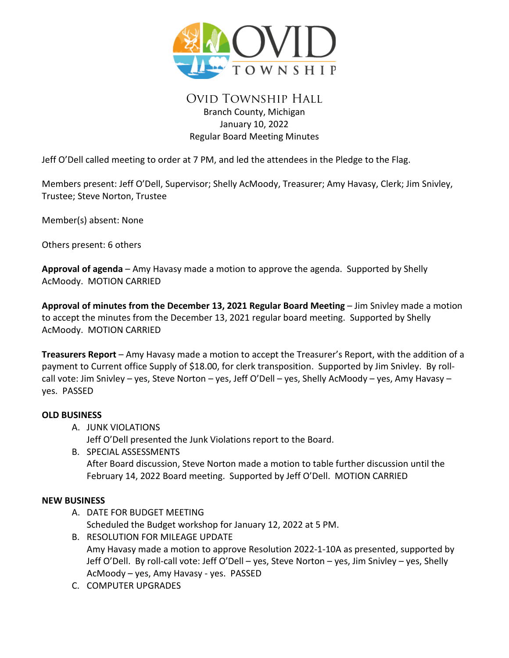

# Ovid Township Hall Branch County, Michigan January 10, 2022 Regular Board Meeting Minutes

Jeff O'Dell called meeting to order at 7 PM, and led the attendees in the Pledge to the Flag.

Members present: Jeff O'Dell, Supervisor; Shelly AcMoody, Treasurer; Amy Havasy, Clerk; Jim Snivley, Trustee; Steve Norton, Trustee

Member(s) absent: None

Others present: 6 others

**Approval of agenda** – Amy Havasy made a motion to approve the agenda. Supported by Shelly AcMoody. MOTION CARRIED

**Approval of minutes from the December 13, 2021 Regular Board Meeting** – Jim Snivley made a motion to accept the minutes from the December 13, 2021 regular board meeting. Supported by Shelly AcMoody. MOTION CARRIED

**Treasurers Report** – Amy Havasy made a motion to accept the Treasurer's Report, with the addition of a payment to Current office Supply of \$18.00, for clerk transposition. Supported by Jim Snivley. By rollcall vote: Jim Snivley – yes, Steve Norton – yes, Jeff O'Dell – yes, Shelly AcMoody – yes, Amy Havasy – yes. PASSED

## **OLD BUSINESS**

A. JUNK VIOLATIONS

Jeff O'Dell presented the Junk Violations report to the Board.

B. SPECIAL ASSESSMENTS After Board discussion, Steve Norton made a motion to table further discussion until the February 14, 2022 Board meeting. Supported by Jeff O'Dell. MOTION CARRIED

#### **NEW BUSINESS**

- A. DATE FOR BUDGET MEETING Scheduled the Budget workshop for January 12, 2022 at 5 PM.
- B. RESOLUTION FOR MILEAGE UPDATE Amy Havasy made a motion to approve Resolution 2022-1-10A as presented, supported by Jeff O'Dell. By roll-call vote: Jeff O'Dell – yes, Steve Norton – yes, Jim Snivley – yes, Shelly AcMoody – yes, Amy Havasy - yes. PASSED
- C. COMPUTER UPGRADES